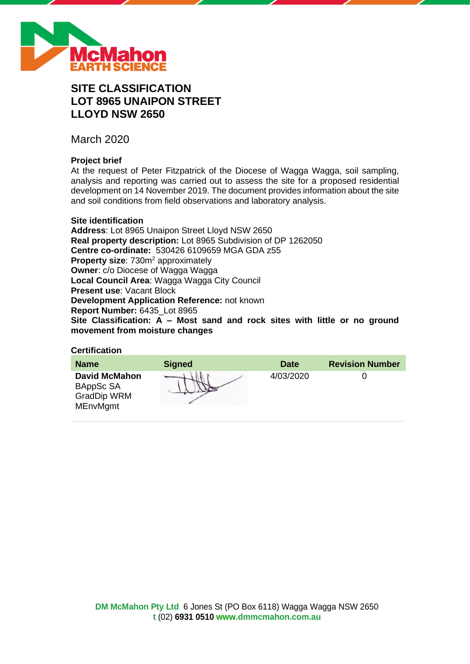

# **SITE CLASSIFICATION LOT 8965 UNAIPON STREET LLOYD NSW 2650**

March 2020

# **Project brief**

At the request of Peter Fitzpatrick of the Diocese of Wagga Wagga, soil sampling, analysis and reporting was carried out to assess the site for a proposed residential development on 14 November 2019. The document provides information about the site and soil conditions from field observations and laboratory analysis.

# **Site identification**

**Address**: Lot 8965 Unaipon Street Lloyd NSW 2650 **Real property description:** Lot 8965 Subdivision of DP 1262050 **Centre co-ordinate:** 530426 6109659 MGA GDA z55 **Property size:** 730m<sup>2</sup> approximately **Owner**: c/o Diocese of Wagga Wagga **Local Council Area**: Wagga Wagga City Council **Present use**: Vacant Block **Development Application Reference:** not known **Report Number:** 6435\_Lot 8965 **Site Classification: A – Most sand and rock sites with little or no ground movement from moisture changes**

# **Certification**

| <b>Name</b>                                                                | <b>Signed</b> | <b>Date</b> | <b>Revision Number</b> |
|----------------------------------------------------------------------------|---------------|-------------|------------------------|
| <b>David McMahon</b><br>BAppSc SA<br><b>GradDip WRM</b><br><b>MEnvMgmt</b> |               | 4/03/2020   |                        |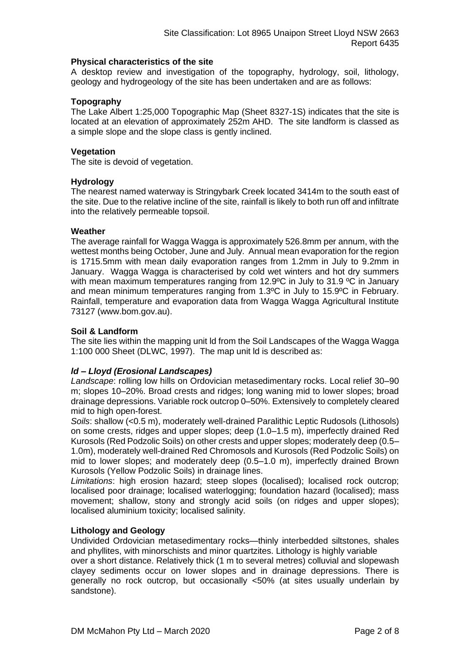# **Physical characteristics of the site**

A desktop review and investigation of the topography, hydrology, soil, lithology, geology and hydrogeology of the site has been undertaken and are as follows:

# **Topography**

The Lake Albert 1:25,000 Topographic Map (Sheet 8327-1S) indicates that the site is located at an elevation of approximately 252m AHD. The site landform is classed as a simple slope and the slope class is gently inclined.

# **Vegetation**

The site is devoid of vegetation.

# **Hydrology**

The nearest named waterway is Stringybark Creek located 3414m to the south east of the site. Due to the relative incline of the site, rainfall is likely to both run off and infiltrate into the relatively permeable topsoil.

# **Weather**

The average rainfall for Wagga Wagga is approximately 526.8mm per annum, with the wettest months being October, June and July. Annual mean evaporation for the region is 1715.5mm with mean daily evaporation ranges from 1.2mm in July to 9.2mm in January. Wagga Wagga is characterised by cold wet winters and hot dry summers with mean maximum temperatures ranging from 12.9°C in July to 31.9 °C in January and mean minimum temperatures ranging from 1.3ºC in July to 15.9ºC in February. Rainfall, temperature and evaporation data from Wagga Wagga Agricultural Institute 73127 (www.bom.gov.au).

# **Soil & Landform**

The site lies within the mapping unit ld from the Soil Landscapes of the Wagga Wagga 1:100 000 Sheet (DLWC, 1997). The map unit ld is described as:

# *ld – Lloyd (Erosional Landscapes)*

*Landscape*: rolling low hills on Ordovician metasedimentary rocks. Local relief 30–90 m; slopes 10–20%. Broad crests and ridges; long waning mid to lower slopes; broad drainage depressions. Variable rock outcrop 0–50%. Extensively to completely cleared mid to high open-forest.

*Soils*: shallow (<0.5 m), moderately well-drained Paralithic Leptic Rudosols (Lithosols) on some crests, ridges and upper slopes; deep (1.0–1.5 m), imperfectly drained Red Kurosols (Red Podzolic Soils) on other crests and upper slopes; moderately deep (0.5– 1.0m), moderately well-drained Red Chromosols and Kurosols (Red Podzolic Soils) on mid to lower slopes; and moderately deep (0.5–1.0 m), imperfectly drained Brown Kurosols (Yellow Podzolic Soils) in drainage lines.

*Limitations*: high erosion hazard; steep slopes (localised); localised rock outcrop; localised poor drainage; localised waterlogging; foundation hazard (localised); mass movement; shallow, stony and strongly acid soils (on ridges and upper slopes); localised aluminium toxicity; localised salinity.

#### **Lithology and Geology**

Undivided Ordovician metasedimentary rocks—thinly interbedded siltstones, shales and phyllites, with minorschists and minor quartzites. Lithology is highly variable

over a short distance. Relatively thick (1 m to several metres) colluvial and slopewash clayey sediments occur on lower slopes and in drainage depressions. There is generally no rock outcrop, but occasionally <50% (at sites usually underlain by sandstone).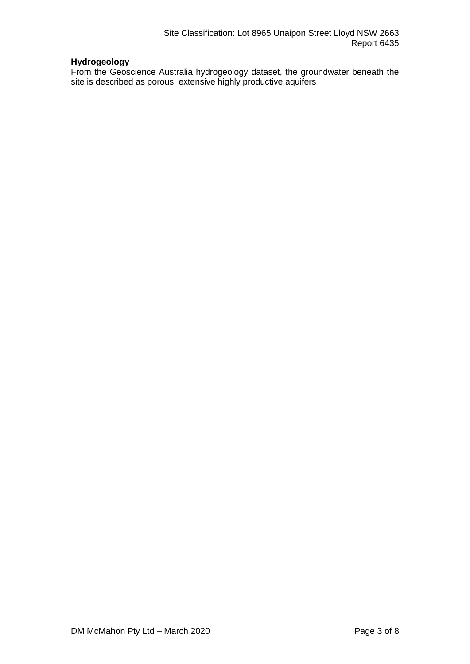# **Hydrogeology**

From the Geoscience Australia hydrogeology dataset, the groundwater beneath the site is described as porous, extensive highly productive aquifers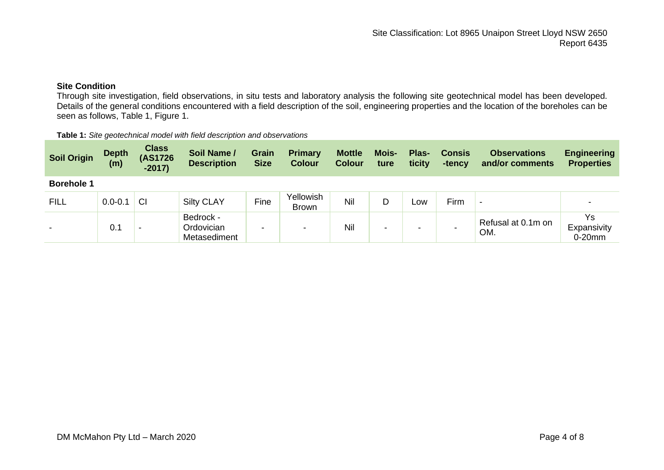# **Site Condition**

Through site investigation, field observations, in situ tests and laboratory analysis the following site geotechnical model has been developed. Details of the general conditions encountered with a field description of the soil, engineering properties and the location of the boreholes can be seen as follows, Table 1, Figure 1.

| <b>Table 1:</b> Site geotechnical model with field description and observations |
|---------------------------------------------------------------------------------|
|---------------------------------------------------------------------------------|

| <b>Soil Origin</b> | <b>Depth</b><br>(m) | <b>Class</b><br>(AS1726<br>$-2017$ | Soil Name /<br><b>Description</b>       | <b>Grain</b><br><b>Size</b> | <b>Primary</b><br><b>Colour</b> | <b>Mottle</b><br><b>Colour</b> | Mois-<br>ture | Plas-<br>ticity          | <b>Consis</b><br>-tency | <b>Observations</b><br>and/or comments | <b>Engineering</b><br><b>Properties</b> |
|--------------------|---------------------|------------------------------------|-----------------------------------------|-----------------------------|---------------------------------|--------------------------------|---------------|--------------------------|-------------------------|----------------------------------------|-----------------------------------------|
| <b>Borehole 1</b>  |                     |                                    |                                         |                             |                                 |                                |               |                          |                         |                                        |                                         |
| <b>FILL</b>        | $0.0 - 0.1$         | <b>CI</b>                          | <b>Silty CLAY</b>                       | Fine                        | Yellowish<br><b>Brown</b>       | Nil                            | D             | Low                      | Firm                    |                                        |                                         |
|                    | 0.1                 | -                                  | Bedrock -<br>Ordovician<br>Metasediment | -                           | -                               | Nil                            | -             | $\overline{\phantom{0}}$ |                         | Refusal at 0.1m on<br>OM.              | Ys<br>Expansivity<br>$0-20$ mm          |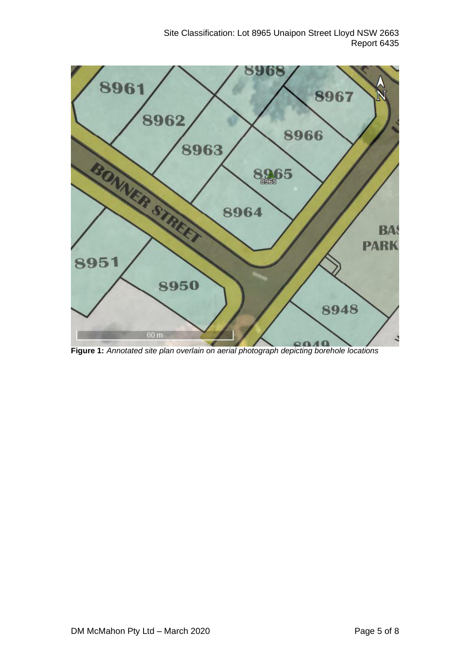

**Figure 1:** *Annotated site plan overlain on aerial photograph depicting borehole locations*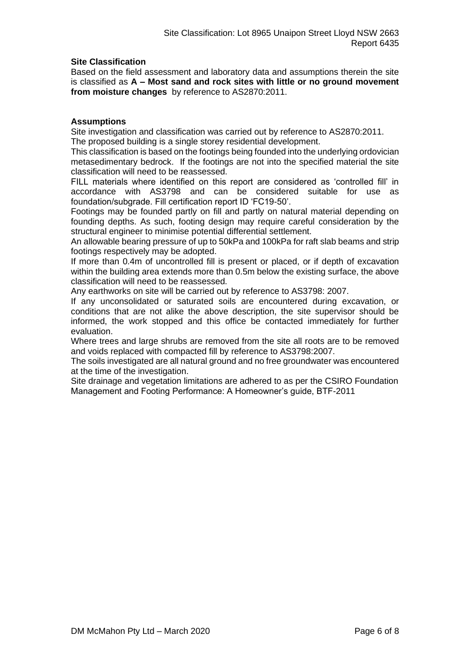# **Site Classification**

Based on the field assessment and laboratory data and assumptions therein the site is classified as **A – Most sand and rock sites with little or no ground movement from moisture changes** by reference to AS2870:2011.

# **Assumptions**

Site investigation and classification was carried out by reference to AS2870:2011. The proposed building is a single storey residential development.

This classification is based on the footings being founded into the underlying ordovician metasedimentary bedrock. If the footings are not into the specified material the site classification will need to be reassessed.

FILL materials where identified on this report are considered as 'controlled fill' in accordance with AS3798 and can be considered suitable for use as foundation/subgrade. Fill certification report ID 'FC19-50'.

Footings may be founded partly on fill and partly on natural material depending on founding depths. As such, footing design may require careful consideration by the structural engineer to minimise potential differential settlement.

An allowable bearing pressure of up to 50kPa and 100kPa for raft slab beams and strip footings respectively may be adopted.

If more than 0.4m of uncontrolled fill is present or placed, or if depth of excavation within the building area extends more than 0.5m below the existing surface, the above classification will need to be reassessed.

Any earthworks on site will be carried out by reference to AS3798: 2007.

If any unconsolidated or saturated soils are encountered during excavation, or conditions that are not alike the above description, the site supervisor should be informed, the work stopped and this office be contacted immediately for further evaluation.

Where trees and large shrubs are removed from the site all roots are to be removed and voids replaced with compacted fill by reference to AS3798:2007.

The soils investigated are all natural ground and no free groundwater was encountered at the time of the investigation.

Site drainage and vegetation limitations are adhered to as per the CSIRO Foundation Management and Footing Performance: A Homeowner's guide, BTF-2011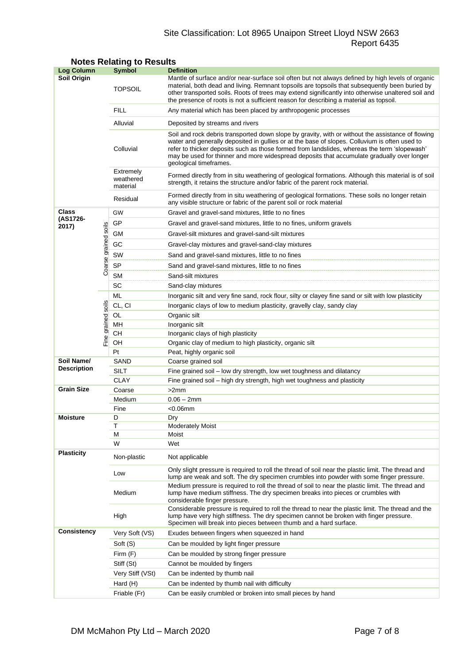# Site Classification: Lot 8965 Unaipon Street Lloyd NSW 2663 Report 6435

| <b>Log Column</b>                |                      | <b>Symbol</b>                      | <b>Definition</b>                                                                                                                                                                                                                                                                                                                                                                                                          |  |  |  |
|----------------------------------|----------------------|------------------------------------|----------------------------------------------------------------------------------------------------------------------------------------------------------------------------------------------------------------------------------------------------------------------------------------------------------------------------------------------------------------------------------------------------------------------------|--|--|--|
| Soil Origin                      |                      | <b>TOPSOIL</b>                     | Mantle of surface and/or near-surface soil often but not always defined by high levels of organic<br>material, both dead and living. Remnant topsoils are topsoils that subsequently been buried by<br>other transported soils. Roots of trees may extend significantly into otherwise unaltered soil and<br>the presence of roots is not a sufficient reason for describing a material as topsoil.                        |  |  |  |
|                                  |                      | <b>FILL</b>                        | Any material which has been placed by anthropogenic processes                                                                                                                                                                                                                                                                                                                                                              |  |  |  |
|                                  |                      | Alluvial                           | Deposited by streams and rivers                                                                                                                                                                                                                                                                                                                                                                                            |  |  |  |
|                                  |                      | Colluvial                          | Soil and rock debris transported down slope by gravity, with or without the assistance of flowing<br>water and generally deposited in gullies or at the base of slopes. Colluvium is often used to<br>refer to thicker deposits such as those formed from landslides, whereas the term 'slopewash'<br>may be used for thinner and more widespread deposits that accumulate gradually over longer<br>geological timeframes. |  |  |  |
|                                  |                      | Extremely<br>weathered<br>material | Formed directly from in situ weathering of geological formations. Although this material is of soil<br>strength, it retains the structure and/or fabric of the parent rock material.                                                                                                                                                                                                                                       |  |  |  |
|                                  |                      | Residual                           | Formed directly from in situ weathering of geological formations. These soils no longer retain<br>any visible structure or fabric of the parent soil or rock material                                                                                                                                                                                                                                                      |  |  |  |
| Class                            |                      | GW                                 | Gravel and gravel-sand mixtures, little to no fines                                                                                                                                                                                                                                                                                                                                                                        |  |  |  |
| (AS1726-                         |                      | GP                                 | Gravel and gravel-sand mixtures, little to no fines, uniform gravels                                                                                                                                                                                                                                                                                                                                                       |  |  |  |
| 2017)                            |                      | <b>GM</b>                          | Gravel-silt mixtures and gravel-sand-silt mixtures                                                                                                                                                                                                                                                                                                                                                                         |  |  |  |
|                                  |                      | GC                                 | Gravel-clay mixtures and gravel-sand-clay mixtures                                                                                                                                                                                                                                                                                                                                                                         |  |  |  |
|                                  |                      | SW                                 | Sand and gravel-sand mixtures, little to no fines                                                                                                                                                                                                                                                                                                                                                                          |  |  |  |
|                                  |                      | <b>SP</b>                          |                                                                                                                                                                                                                                                                                                                                                                                                                            |  |  |  |
|                                  | Coarse grained soils | <b>SM</b>                          | Sand and gravel-sand mixtures, little to no fines                                                                                                                                                                                                                                                                                                                                                                          |  |  |  |
|                                  |                      | SC                                 | Sand-silt mixtures                                                                                                                                                                                                                                                                                                                                                                                                         |  |  |  |
|                                  |                      | ML                                 | Sand-clay mixtures                                                                                                                                                                                                                                                                                                                                                                                                         |  |  |  |
|                                  |                      | CL, CI                             | Inorganic silt and very fine sand, rock flour, silty or clayey fine sand or silt with low plasticity                                                                                                                                                                                                                                                                                                                       |  |  |  |
|                                  | soils                | OL                                 | Inorganic clays of low to medium plasticity, gravelly clay, sandy clay<br>Organic silt                                                                                                                                                                                                                                                                                                                                     |  |  |  |
| Fine grained                     |                      | MH                                 | Inorganic silt                                                                                                                                                                                                                                                                                                                                                                                                             |  |  |  |
|                                  |                      | CН                                 | Inorganic clays of high plasticity                                                                                                                                                                                                                                                                                                                                                                                         |  |  |  |
|                                  |                      | OH                                 | Organic clay of medium to high plasticity, organic silt                                                                                                                                                                                                                                                                                                                                                                    |  |  |  |
|                                  |                      | Pt                                 | Peat, highly organic soil                                                                                                                                                                                                                                                                                                                                                                                                  |  |  |  |
| Soil Name/<br><b>Description</b> |                      | SAND                               | Coarse grained soil                                                                                                                                                                                                                                                                                                                                                                                                        |  |  |  |
|                                  |                      | <b>SILT</b>                        | Fine grained soil - low dry strength, low wet toughness and dilatancy                                                                                                                                                                                                                                                                                                                                                      |  |  |  |
|                                  |                      | <b>CLAY</b>                        | Fine grained soil - high dry strength, high wet toughness and plasticity                                                                                                                                                                                                                                                                                                                                                   |  |  |  |
| <b>Grain Size</b>                |                      | Coarse                             | >2mm                                                                                                                                                                                                                                                                                                                                                                                                                       |  |  |  |
|                                  |                      | Medium                             | $0.06 - 2mm$                                                                                                                                                                                                                                                                                                                                                                                                               |  |  |  |
|                                  |                      | Fine                               | $<$ 0.06 $mm$                                                                                                                                                                                                                                                                                                                                                                                                              |  |  |  |
| <b>Moisture</b>                  |                      | D                                  | Dry                                                                                                                                                                                                                                                                                                                                                                                                                        |  |  |  |
|                                  |                      | T<br>М                             | <b>Moderately Moist</b><br>Moist                                                                                                                                                                                                                                                                                                                                                                                           |  |  |  |
|                                  |                      | W                                  | Wet                                                                                                                                                                                                                                                                                                                                                                                                                        |  |  |  |
| <b>Plasticity</b>                |                      | Non-plastic                        | Not applicable                                                                                                                                                                                                                                                                                                                                                                                                             |  |  |  |
|                                  |                      | Low                                | Only slight pressure is required to roll the thread of soil near the plastic limit. The thread and<br>lump are weak and soft. The dry specimen crumbles into powder with some finger pressure.                                                                                                                                                                                                                             |  |  |  |
|                                  |                      | Medium                             | Medium pressure is required to roll the thread of soil to near the plastic limit. The thread and<br>lump have medium stiffness. The dry specimen breaks into pieces or crumbles with<br>considerable finger pressure.                                                                                                                                                                                                      |  |  |  |
|                                  |                      | High                               | Considerable pressure is required to roll the thread to near the plastic limit. The thread and the<br>lump have very high stiffness. The dry specimen cannot be broken with finger pressure.<br>Specimen will break into pieces between thumb and a hard surface.                                                                                                                                                          |  |  |  |
| <b>Consistency</b>               |                      | Very Soft (VS)                     | Exudes between fingers when squeezed in hand                                                                                                                                                                                                                                                                                                                                                                               |  |  |  |
|                                  |                      | Soft (S)                           | Can be moulded by light finger pressure                                                                                                                                                                                                                                                                                                                                                                                    |  |  |  |
|                                  |                      | Firm $(F)$                         | Can be moulded by strong finger pressure                                                                                                                                                                                                                                                                                                                                                                                   |  |  |  |
|                                  |                      | Stiff (St)                         | Cannot be moulded by fingers                                                                                                                                                                                                                                                                                                                                                                                               |  |  |  |
|                                  |                      | Very Stiff (VSt)                   | Can be indented by thumb nail                                                                                                                                                                                                                                                                                                                                                                                              |  |  |  |
|                                  |                      | Hard (H)                           | Can be indented by thumb nail with difficulty                                                                                                                                                                                                                                                                                                                                                                              |  |  |  |
|                                  |                      | Friable (Fr)                       | Can be easily crumbled or broken into small pieces by hand                                                                                                                                                                                                                                                                                                                                                                 |  |  |  |

# **Notes Relating to Results**